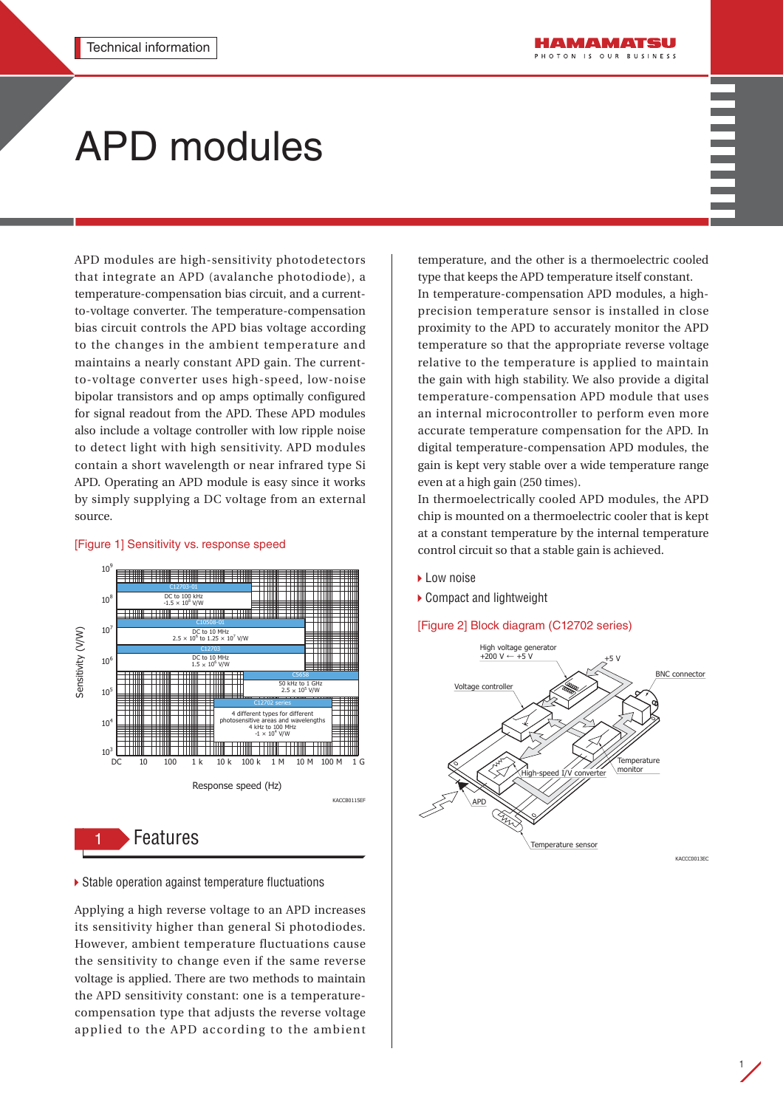# APD modules

APD modules are high-sensitivity photodetectors that integrate an APD (avalanche photodiode), a temperature-compensation bias circuit, and a currentto-voltage converter. The temperature-compensation bias circuit controls the APD bias voltage according to the changes in the ambient temperature and maintains a nearly constant APD gain. The currentto-voltage converter uses high-speed, low-noise bipolar transistors and op amps optimally configured for signal readout from the APD. These APD modules also include a voltage controller with low ripple noise to detect light with high sensitivity. APD modules contain a short wavelength or near infrared type Si APD. Operating an APD module is easy since it works by simply supplying a DC voltage from an external source.

#### 10<sup>9</sup> C12703-01  $10^8$ DC to 100 kHz<br> $-1.5 \times 10^8$  V/W V/W C10508-01 ₩ ╈  $10^{7}$ Sensitivity (V/W) Sensitivity (V/W)  $DC$  to 10 MHz<br>2.5  $\times$  10<sup>6</sup> to 1.25  $\times$  10<sup>7</sup> V/W ŦII C12703  $\Box$  $10<sup>6</sup>$ DC to 10 MHz<br> $1.5 \times 10^6$  V/W C5658 50 kHz to 1 GHz<br> $2.5 \times 10^5$  V/W  $10^5$ 4 different types for different photosensitive areas and wavelengths  $10<sup>4</sup>$ 4 kHz to 100 MHz  $-1 \times 10^4$  V/W a shi kata wa Tanzania ya Tanzania ya Tanzania  $10^3$  || DC 10 100 1 k 10 k 100 k 1 M 10 M 100 M 1 G Response speed (Hz) KACCB0115EF

#### [Figure 1] Sensitivity vs. response speed

1 Features

▶ Stable operation against temperature fluctuations

Applying a high reverse voltage to an APD increases its sensitivity higher than general Si photodiodes. However, ambient temperature fluctuations cause the sensitivity to change even if the same reverse voltage is applied. There are two methods to maintain the APD sensitivity constant: one is a temperaturecompensation type that adjusts the reverse voltage applied to the APD according to the ambient

temperature, and the other is a thermoelectric cooled type that keeps the APD temperature itself constant.

In temperature-compensation APD modules, a highprecision temperature sensor is installed in close proximity to the APD to accurately monitor the APD temperature so that the appropriate reverse voltage relative to the temperature is applied to maintain the gain with high stability. We also provide a digital temperature-compensation APD module that uses an internal microcontroller to perform even more accurate temperature compensation for the APD. In digital temperature-compensation APD modules, the gain is kept very stable over a wide temperature range even at a high gain (250 times).

In thermoelectrically cooled APD modules, the APD chip is mounted on a thermoelectric cooler that is kept at a constant temperature by the internal temperature control circuit so that a stable gain is achieved.

- ▶ Low noise
- ▶ Compact and lightweight

[Figure 2] Block diagram (C12702 series)

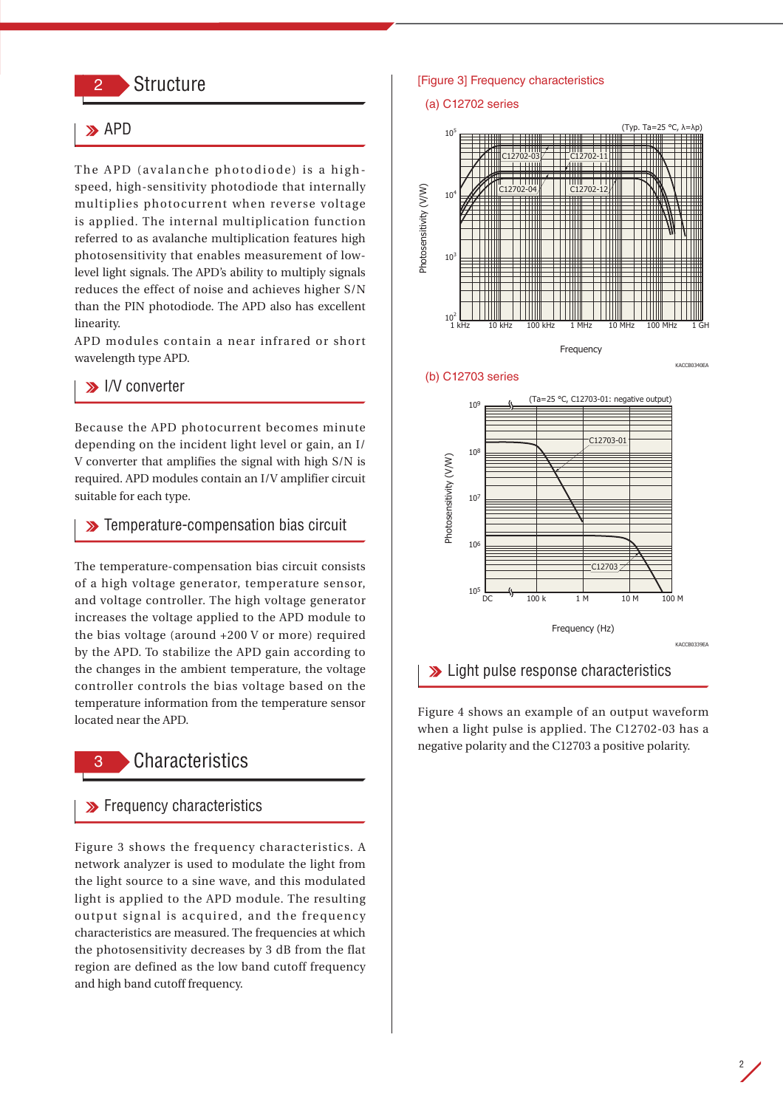# **Structure**

# $\rightarrow$  APD

The APD (avalanche photodiode) is a highspeed, high-sensitivity photodiode that internally multiplies photocurrent when reverse voltage is applied. The internal multiplication function referred to as avalanche multiplication features high photosensitivity that enables measurement of lowlevel light signals. The APD's ability to multiply signals reduces the effect of noise and achieves higher S/N than the PIN photodiode. The APD also has excellent linearity.

APD modules contain a near infrared or short wavelength type APD.

## **I/V** converter

Because the APD photocurrent becomes minute depending on the incident light level or gain, an I/ V converter that amplifies the signal with high S/N is required. APD modules contain an I/V amplifier circuit suitable for each type.

## **>>** Temperature-compensation bias circuit

The temperature-compensation bias circuit consists of a high voltage generator, temperature sensor, and voltage controller. The high voltage generator increases the voltage applied to the APD module to the bias voltage (around +200 V or more) required by the APD. To stabilize the APD gain according to the changes in the ambient temperature, the voltage controller controls the bias voltage based on the temperature information from the temperature sensor located near the APD.

# **Characteristics**

## **>>** Frequency characteristics

Figure 3 shows the frequency characteristics. A network analyzer is used to modulate the light from the light source to a sine wave, and this modulated light is applied to the APD module. The resulting output signal is acquired, and the frequency characteristics are measured. The frequencies at which the photosensitivity decreases by 3 dB from the flat region are defined as the low band cutoff frequency and high band cutoff frequency.

#### [Figure 3] Frequency characteristics

#### (a) C12702 series





KACCB0340EA





## **Example 1** Light pulse response characteristics

Figure 4 shows an example of an output waveform when a light pulse is applied. The C12702-03 has a negative polarity and the C12703 a positive polarity.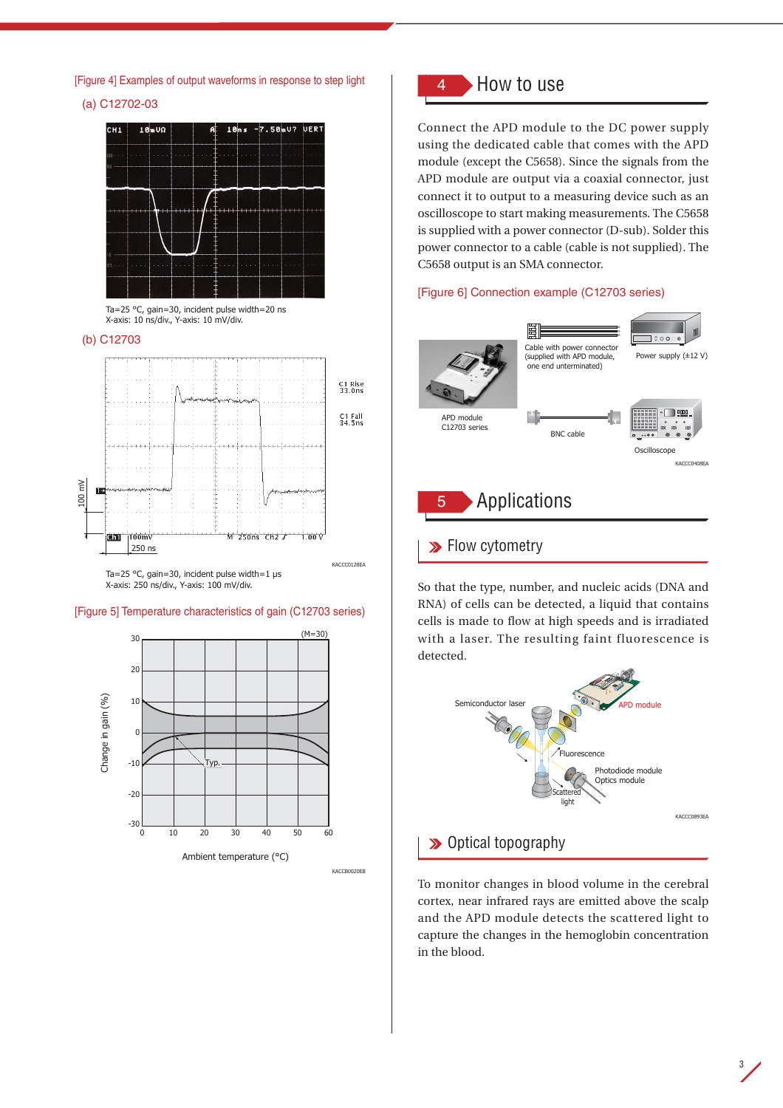[Figure 4] Examples of output waveforms in response to step light

(a) C12702-03





#### (b) C12703



Ta=25 °C, gain=30, incident pulse width=1 μs X-axis: 250 ns/div., Y-axis: 100 mV/div.

#### [Figure 5] Temperature characteristics of gain (C12703 series)



# 4 How to use

Connect the APD module to the DC power supply using the dedicated cable that comes with the APD module (except the C5658). Since the signals from the APD module are output via a coaxial connector, just connect it to output to a measuring device such as an oscilloscope to start making measurements. The C5658 is supplied with a power connector (D-sub). Solder this power connector to a cable (cable is not supplied). The C5658 output is an SMA connector.

#### [Figure 6] Connection example (C12703 series)



So that the type, number, and nucleic acids (DNA and RNA) of cells can be detected, a liquid that contains cells is made to flow at high speeds and is irradiated with a laser. The resulting faint fluorescence is detected.



To monitor changes in blood volume in the cerebral cortex, near infrared rays are emitted above the scalp and the APD module detects the scattered light to capture the changes in the hemoglobin concentration in the blood.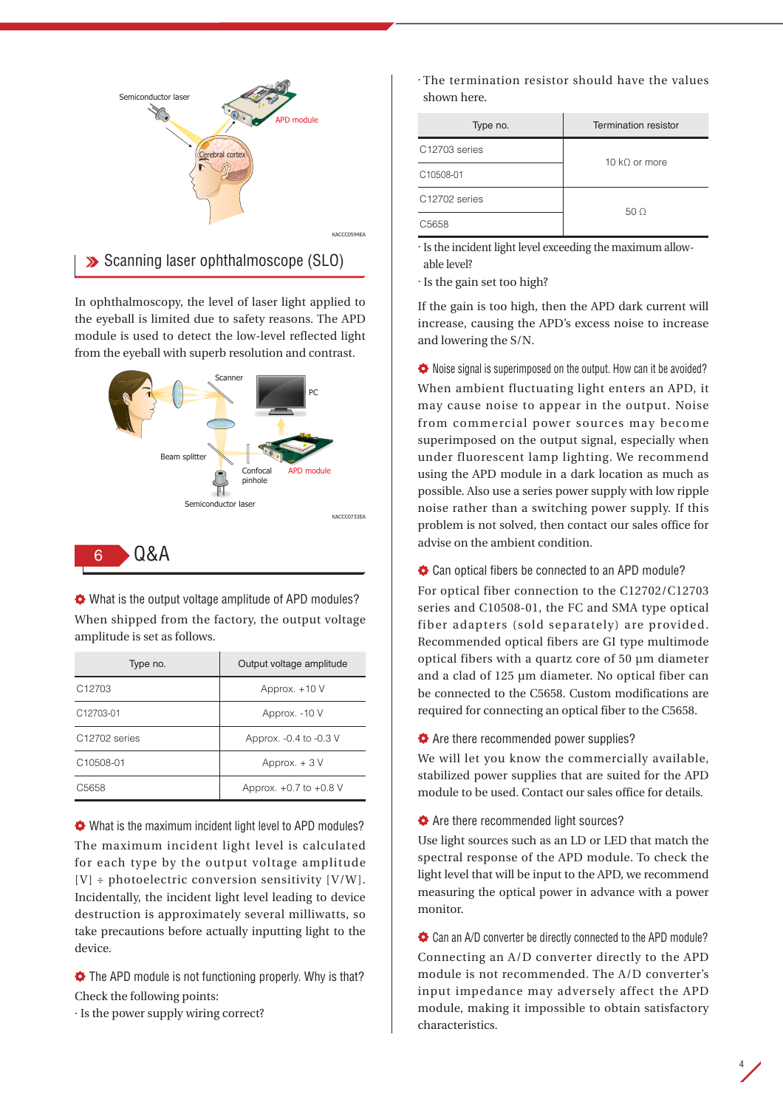

In ophthalmoscopy, the level of laser light applied to the eyeball is limited due to safety reasons. The APD module is used to detect the low-level reflected light from the eyeball with superb resolution and contrast.



# 6 Q&A

What is the output voltage amplitude of APD modules? When shipped from the factory, the output voltage amplitude is set as follows.

| Type no.              | Output voltage amplitude   |
|-----------------------|----------------------------|
| C <sub>12703</sub>    | Approx. +10 V              |
| C <sub>12703-01</sub> | Approx. - 10 V             |
| C12702 series         | Approx. -0.4 to -0.3 V     |
| C10508-01             | Approx. $+3V$              |
| C <sub>5658</sub>     | Approx. $+0.7$ to $+0.8$ V |

What is the maximum incident light level to APD modules? The maximum incident light level is calculated for each type by the output voltage amplitude  $[V] \div photoelectric\ conversion\ sensitivity\ [V/W].$ Incidentally, the incident light level leading to device destruction is approximately several milliwatts, so take precautions before actually inputting light to the device.

 $\blacklozenge$  The APD module is not functioning properly. Why is that? Check the following points:

· Is the power supply wiring correct?

· The termination resistor should have the values shown here.

| Type no.                  | Termination resistor |
|---------------------------|----------------------|
| C12703 series             | 10 kO or more        |
| C10508-01                 |                      |
| C <sub>12702</sub> series | 50 O                 |
| C5658                     |                      |

· Is the incident light level exceeding the maximum allowable level?

· Is the gain set too high?

If the gain is too high, then the APD dark current will increase, causing the APD's excess noise to increase and lowering the S/N.

 $\blacklozenge$  Noise signal is superimposed on the output. How can it be avoided? When ambient fluctuating light enters an APD, it may cause noise to appear in the output. Noise from commercial power sources may become superimposed on the output signal, especially when under fluorescent lamp lighting. We recommend using the APD module in a dark location as much as possible. Also use a series power supply with low ripple noise rather than a switching power supply. If this problem is not solved, then contact our sales office for advise on the ambient condition.

 $\bullet$  Can optical fibers be connected to an APD module?

For optical fiber connection to the C12702/C12703 series and C10508-01, the FC and SMA type optical fiber adapters (sold separately) are provided. Recommended optical fibers are GI type multimode optical fibers with a quartz core of 50 µm diameter and a clad of 125 µm diameter. No optical fiber can be connected to the C5658. Custom modifications are required for connecting an optical fiber to the C5658.

 $\blacklozenge$  Are there recommended power supplies?

We will let you know the commercially available, stabilized power supplies that are suited for the APD module to be used. Contact our sales office for details.

 $\blacklozenge$  Are there recommended light sources?

Use light sources such as an LD or LED that match the spectral response of the APD module. To check the light level that will be input to the APD, we recommend measuring the optical power in advance with a power monitor.

Can an A/D converter be directly connected to the APD module? Connecting an A/D converter directly to the APD module is not recommended. The A/D converter's input impedance may adversely affect the APD module, making it impossible to obtain satisfactory characteristics.